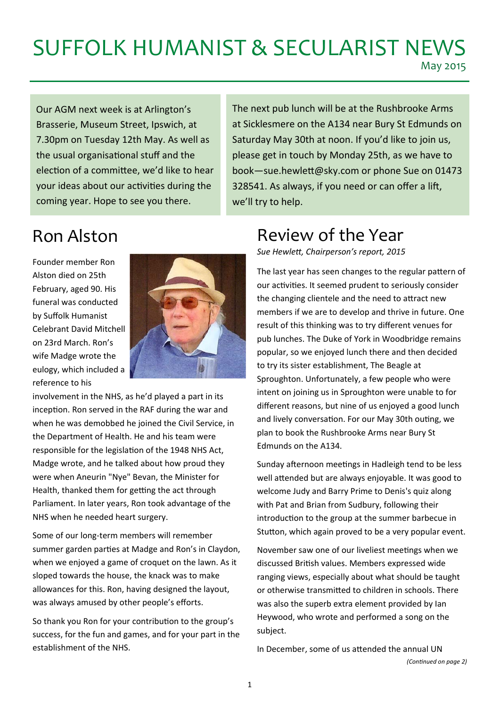# SUFFOLK HUMANIST & SECULARIST NEWS

May 2015

Our AGM next week is at Arlington's Brasserie, Museum Street, Ipswich, at 7.30pm on Tuesday 12th May. As well as the usual organisational stuff and the election of a committee, we'd like to hear your ideas about our activities during the coming year. Hope to see you there.

Saturday May 30th at noon. If you'd like to join us, please get in touch by Monday 25th, as we have to book—sue.hewleƩ[@sky.com](mailto:sue.hewle%ED%AF%80%ED%B6%A9@sky.com) or phone Sue on 01473 328541. As always, if you need or can offer a lift, we'll try to help.

The next pub lunch will be at the Rushbrooke Arms at Sicklesmere on the A134 near Bury St Edmunds on

Founder member Ron Alston died on 25th February, aged 90. His funeral was conducted by Suffolk Humanist Celebrant David Mitchell on 23rd March. Ron's wife Madge wrote the eulogy, which included a reference to his



involvement in the NHS, as he'd played a part in its inception. Ron served in the RAF during the war and when he was demobbed he joined the Civil Service, in the Department of Health. He and his team were responsible for the legislation of the 1948 NHS Act, Madge wrote, and he talked about how proud they were when Aneurin "Nye" Bevan, the Minister for Health, thanked them for getting the act through Parliament. In later years, Ron took advantage of the NHS when he needed heart surgery.

Some of our long‐term members will remember summer garden parties at Madge and Ron's in Claydon, when we enjoyed a game of croquet on the lawn. As it sloped towards the house, the knack was to make allowances for this. Ron, having designed the layout, was always amused by other people's efforts.

So thank you Ron for your contribution to the group's success, for the fun and games, and for your part in the establishment of the NHS.

### Ron Alston Review of the Year

*Sue HewleƩ, Chairperson's report, 2015* 

The last year has seen changes to the regular pattern of our activities. It seemed prudent to seriously consider the changing clientele and the need to attract new members if we are to develop and thrive in future. One result of this thinking was to try different venues for pub lunches. The Duke of York in Woodbridge remains popular, so we enjoyed lunch there and then decided to try its sister establishment, The Beagle at Sproughton. Unfortunately, a few people who were intent on joining us in Sproughton were unable to for different reasons, but nine of us enjoyed a good lunch and lively conversation. For our May 30th outing, we plan to book the Rushbrooke Arms near Bury St Edmunds on the A134.

Sunday afternoon meetings in Hadleigh tend to be less well attended but are always enjoyable. It was good to welcome Judy and Barry Prime to Denis's quiz along with Pat and Brian from Sudbury, following their introduction to the group at the summer barbecue in Stutton, which again proved to be a very popular event.

November saw one of our liveliest meetings when we discussed British values. Members expressed wide ranging views, especially about what should be taught or otherwise transmitted to children in schools. There was also the superb extra element provided by Ian Heywood, who wrote and performed a song on the subject.

In December, some of us attended the annual UN *(ConƟnued on page 2)*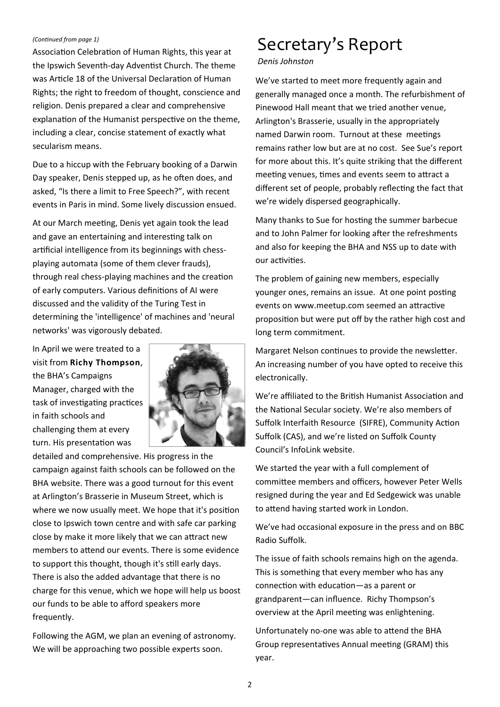#### *(ConƟnued from page 1)*

Association Celebration of Human Rights, this year at the Ipswich Seventh-day Adventist Church. The theme was Article 18 of the Universal Declaration of Human Rights; the right to freedom of thought, conscience and religion. Denis prepared a clear and comprehensive explanation of the Humanist perspective on the theme, including a clear, concise statement of exactly what secularism means.

Due to a hiccup with the February booking of a Darwin Day speaker, Denis stepped up, as he often does, and asked, "Is there a limit to Free Speech?", with recent events in Paris in mind. Some lively discussion ensued.

At our March meeting, Denis yet again took the lead and gave an entertaining and interesting talk on artificial intelligence from its beginnings with chessplaying automata (some of them clever frauds), through real chess-playing machines and the creation of early computers. Various definitions of AI were discussed and the validity of the Turing Test in determining the 'intelligence' of machines and 'neural networks' was vigorously debated.

In April we were treated to a visit from **Richy Thompson**, the BHA's Campaigns Manager, charged with the task of investigating practices in faith schools and challenging them at every turn. His presentation was



detailed and comprehensive. His progress in the campaign against faith schools can be followed on the BHA website. There was a good turnout for this event at Arlington's Brasserie in Museum Street, which is where we now usually meet. We hope that it's position close to Ipswich town centre and with safe car parking close by make it more likely that we can attract new members to attend our events. There is some evidence to support this thought, though it's still early days. There is also the added advantage that there is no charge for this venue, which we hope will help us boost our funds to be able to afford speakers more frequently.

Following the AGM, we plan an evening of astronomy. We will be approaching two possible experts soon.

### Secretary's Report

#### *Denis Johnston*

We've started to meet more frequently again and generally managed once a month. The refurbishment of Pinewood Hall meant that we tried another venue, Arlington's Brasserie, usually in the appropriately named Darwin room. Turnout at these meetings remains rather low but are at no cost. See Sue's report for more about this. It's quite striking that the different meeting venues, times and events seem to attract a different set of people, probably reflecting the fact that we're widely dispersed geographically.

Many thanks to Sue for hosting the summer barbecue and to John Palmer for looking after the refreshments and also for keeping the BHA and NSS up to date with our activities.

The problem of gaining new members, especially younger ones, remains an issue. At one point posting events on [www.meetup.com](http://www.meetup.com) seemed an attractive proposition but were put off by the rather high cost and long term commitment.

Margaret Nelson continues to provide the newsletter. An increasing number of you have opted to receive this electronically.

We're affiliated to the British Humanist Association and the National Secular society. We're also members of Suffolk Interfaith Resource (SIFRE), Community Action Suffolk (CAS), and we're listed on Suffolk County Council's InfoLink website.

We started the year with a full complement of committee members and officers, however Peter Wells resigned during the year and Ed Sedgewick was unable to attend having started work in London.

We've had occasional exposure in the press and on BBC Radio Suffolk.

The issue of faith schools remains high on the agenda. This is something that every member who has any connection with education—as a parent or grandparent—can influence. Richy Thompson's overview at the April meeting was enlightening.

Unfortunately no-one was able to attend the BHA Group representatives Annual meeting (GRAM) this year.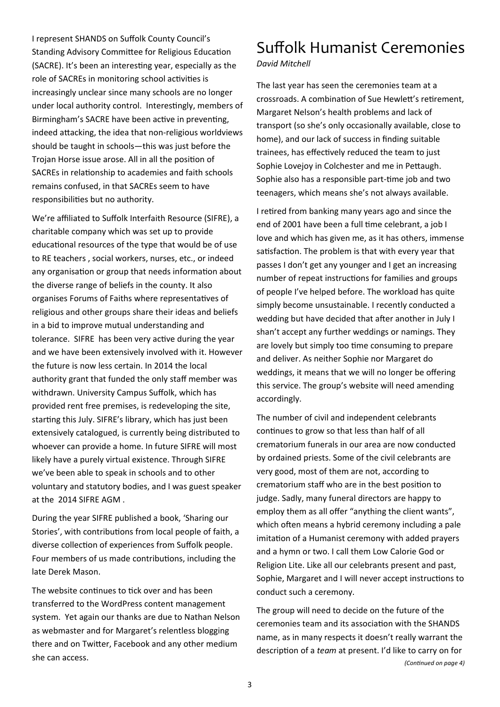I represent SHANDS on Suffolk County Council's Standing Advisory Committee for Religious Education (SACRE). It's been an interesting year, especially as the role of SACREs in monitoring school activities is increasingly unclear since many schools are no longer under local authority control. Interestingly, members of Birmingham's SACRE have been active in preventing, indeed attacking, the idea that non-religious worldviews should be taught in schools—this was just before the Trojan Horse issue arose. All in all the position of SACREs in relationship to academies and faith schools remains confused, in that SACREs seem to have responsibilities but no authority.

We're affiliated to Suffolk Interfaith Resource (SIFRE), a charitable company which was set up to provide educational resources of the type that would be of use to RE teachers , social workers, nurses, etc., or indeed any organisation or group that needs information about the diverse range of beliefs in the county. It also organises Forums of Faiths where representatives of religious and other groups share their ideas and beliefs in a bid to improve mutual understanding and tolerance. SIFRE has been very active during the year and we have been extensively involved with it. However the future is now less certain. In 2014 the local authority grant that funded the only staff member was withdrawn. University Campus Suffolk, which has provided rent free premises, is redeveloping the site, starting this July. SIFRE's library, which has just been extensively catalogued, is currently being distributed to whoever can provide a home. In future SIFRE will most likely have a purely virtual existence. Through SIFRE we've been able to speak in schools and to other voluntary and statutory bodies, and I was guest speaker at the 2014 SIFRE AGM .

During the year SIFRE published a book, 'Sharing our Stories', with contributions from local people of faith, a diverse collection of experiences from Suffolk people. Four members of us made contributions, including the late Derek Mason.

The website continues to tick over and has been transferred to the WordPress content management system. Yet again our thanks are due to Nathan Nelson as webmaster and for Margaret's relentless blogging there and on Twitter, Facebook and any other medium she can access.

### Suffolk Humanist Ceremonies

*David Mitchell* 

The last year has seen the ceremonies team at a crossroads. A combination of Sue Hewlett's retirement, Margaret Nelson's health problems and lack of transport (so she's only occasionally available, close to home), and our lack of success in finding suitable trainees, has effectively reduced the team to just Sophie Lovejoy in Colchester and me in Pettaugh. Sophie also has a responsible part-time job and two teenagers, which means she's not always available.

I retired from banking many years ago and since the end of 2001 have been a full time celebrant, a job I love and which has given me, as it has others, immense satisfaction. The problem is that with every year that passes I don't get any younger and I get an increasing number of repeat instructions for families and groups of people I've helped before. The workload has quite simply become unsustainable. I recently conducted a wedding but have decided that after another in July I shan't accept any further weddings or namings. They are lovely but simply too time consuming to prepare and deliver. As neither Sophie nor Margaret do weddings, it means that we will no longer be offering this service. The group's website will need amending accordingly.

The number of civil and independent celebrants continues to grow so that less than half of all crematorium funerals in our area are now conducted by ordained priests. Some of the civil celebrants are very good, most of them are not, according to crematorium staff who are in the best position to judge. Sadly, many funeral directors are happy to employ them as all offer "anything the client wants", which often means a hybrid ceremony including a pale imitation of a Humanist ceremony with added prayers and a hymn or two. I call them Low Calorie God or Religion Lite. Like all our celebrants present and past, Sophie, Margaret and I will never accept instructions to conduct such a ceremony.

The group will need to decide on the future of the ceremonies team and its association with the SHANDS name, as in many respects it doesn't really warrant the description of a *team* at present. I'd like to carry on for *(ConƟnued on page 4)*